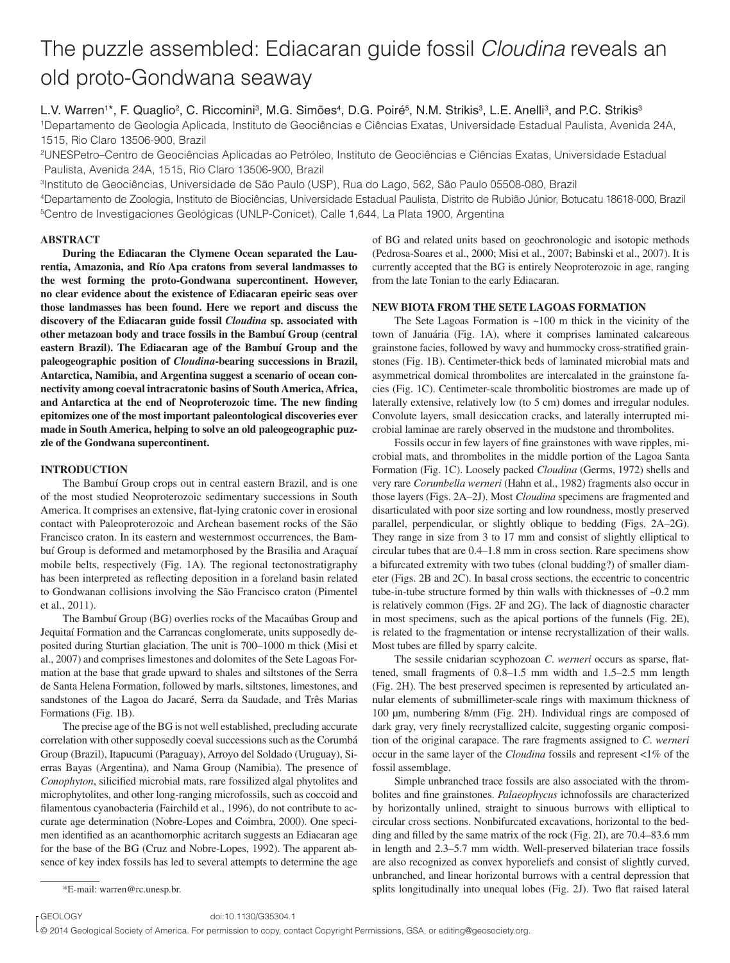# The puzzle assembled: Ediacaran guide fossil *Cloudina* reveals an old proto-Gondwana seaway

L.V. Warren<sup>1\*</sup>, F. Quaglio<sup>2</sup>, C. Riccomini<sup>3</sup>, M.G. Simões<sup>4</sup>, D.G. Poiré<sup>5</sup>, N.M. Strikis<sup>3</sup>, L.E. Anelli<sup>3</sup>, and P.C. Strikis<sup>3</sup> 1Departamento de Geologia Aplicada, Instituto de Geociências e Ciências Exatas, Universidade Estadual Paulista, Avenida 24A, 1515, Rio Claro 13506-900, Brazil

2 UNESPetro–Centro de Geociências Aplicadas ao Petróleo, Instituto de Geociências e Ciências Exatas, Universidade Estadual Paulista, Avenida 24A, 1515, Rio Claro 13506-900, Brazil

3Instituto de Geociências, Universidade de São Paulo (USP), Rua do Lago, 562, São Paulo 05508-080, Brazil

4 Departamento de Zoologia, Instituto de Biociências, Universidade Estadual Paulista, Distrito de Rubião Júnior, Botucatu 18618-000, Brazil 5Centro de Investigaciones Geológicas (UNLP-Conicet), Calle 1,644, La Plata 1900, Argentina

## **ABSTRACT**

**During the Ediacaran the Clymene Ocean separated the Laurentia, Amazonia, and Río Apa cratons from several landmasses to the west forming the proto-Gondwana supercontinent. However, no clear evidence about the existence of Ediacaran epeiric seas over those landmasses has been found. Here we report and discuss the discovery of the Ediacaran guide fossil** *Cloudina* **sp. associated with other metazoan body and trace fossils in the Bambuí Group (central eastern Brazil). The Ediacaran age of the Bambuí Group and the paleogeographic position of** *Cloudina***-bearing successions in Brazil, Antarctica, Namibia, and Argentina suggest a scenario of ocean connectivity among coeval intracratonic basins of South America, Africa,**  and Antarctica at the end of Neoproterozoic time. The new finding **epitomizes one of the most important paleontological discoveries ever made in South America, helping to solve an old paleogeographic puzzle of the Gondwana supercontinent.**

# **INTRODUCTION**

The Bambuí Group crops out in central eastern Brazil, and is one of the most studied Neoproterozoic sedimentary successions in South America. It comprises an extensive, flat-lying cratonic cover in erosional contact with Paleoproterozoic and Archean basement rocks of the São Francisco craton. In its eastern and westernmost occurrences, the Bambuí Group is deformed and metamorphosed by the Brasilia and Araçuaí mobile belts, respectively (Fig. 1A). The regional tectonostratigraphy has been interpreted as reflecting deposition in a foreland basin related to Gondwanan collisions involving the São Francisco craton (Pimentel et al., 2011).

The Bambuí Group (BG) overlies rocks of the Macaúbas Group and Jequitaí Formation and the Carrancas conglomerate, units supposedly deposited during Sturtian glaciation. The unit is 700–1000 m thick (Misi et al., 2007) and comprises limestones and dolomites of the Sete Lagoas Formation at the base that grade upward to shales and siltstones of the Serra de Santa Helena Formation, followed by marls, siltstones, limestones, and sandstones of the Lagoa do Jacaré, Serra da Saudade, and Três Marias Formations (Fig. 1B).

The precise age of the BG is not well established, precluding accurate correlation with other supposedly coeval successions such as the Corumbá Group (Brazil), Itapucumi (Paraguay), Arroyo del Soldado (Uruguay), Sierras Bayas (Argentina), and Nama Group (Namibia). The presence of Conophyton, silicified microbial mats, rare fossilized algal phytolites and microphytolites, and other long-ranging microfossils, such as coccoid and filamentous cyanobacteria (Fairchild et al., 1996), do not contribute to accurate age determination (Nobre-Lopes and Coimbra, 2000). One specimen identified as an acanthomorphic acritarch suggests an Ediacaran age for the base of the BG (Cruz and Nobre-Lopes, 1992). The apparent absence of key index fossils has led to several attempts to determine the age

of BG and related units based on geochronologic and isotopic methods (Pedrosa-Soares et al., 2000; Misi et al., 2007; Babinski et al., 2007). It is currently accepted that the BG is entirely Neoproterozoic in age, ranging from the late Tonian to the early Ediacaran.

# **NEW BIOTA FROM THE SETE LAGOAS FORMATION**

The Sete Lagoas Formation is  $~100$  m thick in the vicinity of the town of Januária (Fig. 1A), where it comprises laminated calcareous grainstone facies, followed by wavy and hummocky cross-stratified grainstones (Fig. 1B). Centimeter-thick beds of laminated microbial mats and asymmetrical domical thrombolites are intercalated in the grainstone facies (Fig. 1C). Centimeter-scale thrombolitic biostromes are made up of laterally extensive, relatively low (to 5 cm) domes and irregular nodules. Convolute layers, small desiccation cracks, and laterally interrupted microbial laminae are rarely observed in the mudstone and thrombolites.

Fossils occur in few layers of fine grainstones with wave ripples, microbial mats, and thrombolites in the middle portion of the Lagoa Santa Formation (Fig. 1C). Loosely packed *Cloudina* (Germs, 1972) shells and very rare *Corumbella werneri* (Hahn et al., 1982) fragments also occur in those layers (Figs. 2A–2J). Most *Cloudina* specimens are fragmented and disarticulated with poor size sorting and low roundness, mostly preserved parallel, perpendicular, or slightly oblique to bedding (Figs. 2A–2G). They range in size from 3 to 17 mm and consist of slightly elliptical to circular tubes that are 0.4–1.8 mm in cross section. Rare specimens show a bifurcated extremity with two tubes (clonal budding?) of smaller diameter (Figs. 2B and 2C). In basal cross sections, the eccentric to concentric tube-in-tube structure formed by thin walls with thicknesses of ~0.2 mm is relatively common (Figs. 2F and 2G). The lack of diagnostic character in most specimens, such as the apical portions of the funnels (Fig. 2E), is related to the fragmentation or intense recrystallization of their walls. Most tubes are filled by sparry calcite.

The sessile cnidarian scyphozoan *C. werneri* occurs as sparse, flattened, small fragments of 0.8–1.5 mm width and 1.5–2.5 mm length (Fig. 2H). The best preserved specimen is represented by articulated annular elements of submillimeter-scale rings with maximum thickness of 100 µm, numbering 8/mm (Fig. 2H). Individual rings are composed of dark gray, very finely recrystallized calcite, suggesting organic composition of the original carapace. The rare fragments assigned to *C*. *werneri* occur in the same layer of the *Cloudina* fossils and represent <1% of the fossil assemblage.

Simple unbranched trace fossils are also associated with the thrombolites and fine grainstones. *Palaeophycus* ichnofossils are characterized by horizontally unlined, straight to sinuous burrows with elliptical to circular cross sections. Nonbifurcated excavations, horizontal to the bedding and filled by the same matrix of the rock (Fig. 2I), are 70.4–83.6 mm in length and 2.3–5.7 mm width. Well-preserved bilaterian trace fossils are also recognized as convex hyporeliefs and consist of slightly curved, unbranched, and linear horizontal burrows with a central depression that \*E-mail: warren@rc.unesp.br. splits longitudinally into unequal lobes (Fig. 2J). Two flat raised lateral

r GEOLOGY 2014; p. 1130/G35304.1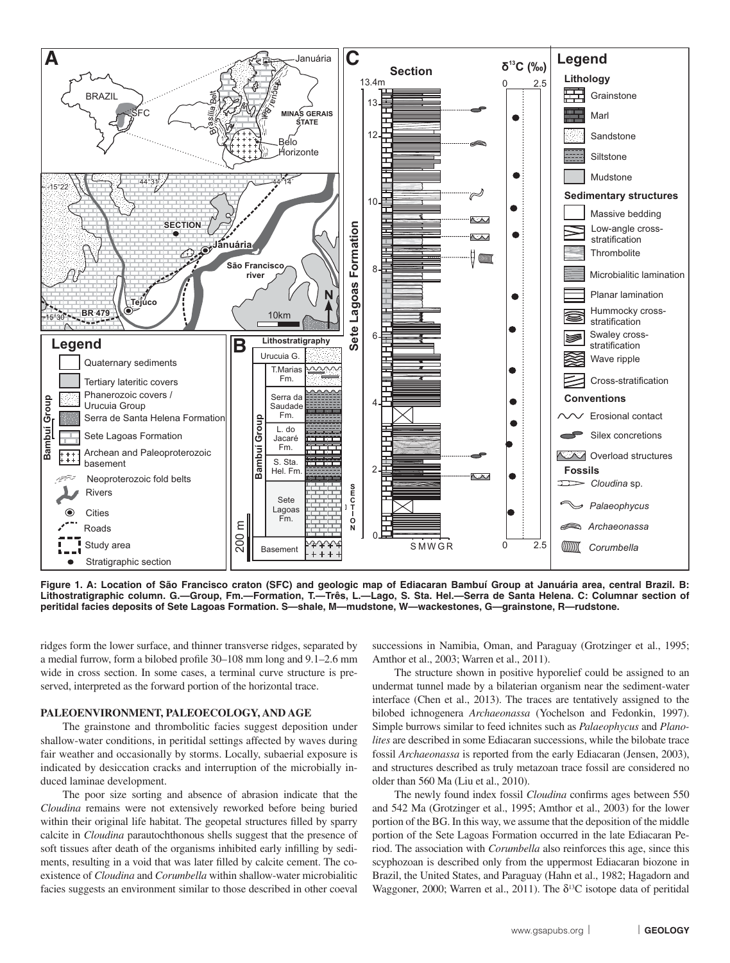

**Figure 1. A: Location of São Francisco craton (SFC) and geologic map of Ediacaran Bambuí Group at Januária area, central Brazil. B: Lithostratigraphic column. G.—Group, Fm.—Formation, T.—Três, L.—Lago, S. Sta. Hel.—Serra de Santa Helena. C: Columnar section of peritidal facies deposits of Sete Lagoas Formation. S—shale, M—mudstone, W—wackestones, G—grainstone, R—rudstone.**

ridges form the lower surface, and thinner transverse ridges, separated by a medial furrow, form a bilobed profile 30–108 mm long and 9.1–2.6 mm wide in cross section. In some cases, a terminal curve structure is preserved, interpreted as the forward portion of the horizontal trace.

## **PALEOENVIRONMENT, PALEOECOLOGY, AND AGE**

The grainstone and thrombolitic facies suggest deposition under shallow-water conditions, in peritidal settings affected by waves during fair weather and occasionally by storms. Locally, subaerial exposure is indicated by desiccation cracks and interruption of the microbially induced laminae development.

The poor size sorting and absence of abrasion indicate that the *Cloudina* remains were not extensively reworked before being buried within their original life habitat. The geopetal structures filled by sparry calcite in *Cloudina* parautochthonous shells suggest that the presence of soft tissues after death of the organisms inhibited early infilling by sediments, resulting in a void that was later filled by calcite cement. The coexistence of *Cloudina* and *Corumbella* within shallow-water microbialitic facies suggests an environment similar to those described in other coeval

successions in Namibia, Oman, and Paraguay (Grotzinger et al., 1995; Amthor et al., 2003; Warren et al., 2011).

The structure shown in positive hyporelief could be assigned to an undermat tunnel made by a bilaterian organism near the sediment-water interface (Chen et al., 2013). The traces are tentatively assigned to the bilobed ichnogenera *Archaeonassa* (Yochelson and Fedonkin, 1997). Simple burrows similar to feed ichnites such as *Palaeophycus* and *Planolites* are described in some Ediacaran successions, while the bilobate trace fossil *Archaeonassa* is reported from the early Ediacaran (Jensen, 2003), and structures described as truly metazoan trace fossil are considered no older than 560 Ma (Liu et al., 2010).

The newly found index fossil *Cloudina* confirms ages between 550 and 542 Ma (Grotzinger et al., 1995; Amthor et al., 2003) for the lower portion of the BG. In this way, we assume that the deposition of the middle portion of the Sete Lagoas Formation occurred in the late Ediacaran Period. The association with *Corumbella* also reinforces this age, since this scyphozoan is described only from the uppermost Ediacaran biozone in Brazil, the United States, and Paraguay (Hahn et al., 1982; Hagadorn and Waggoner, 2000; Warren et al., 2011). The  $\delta^{13}C$  isotope data of peritidal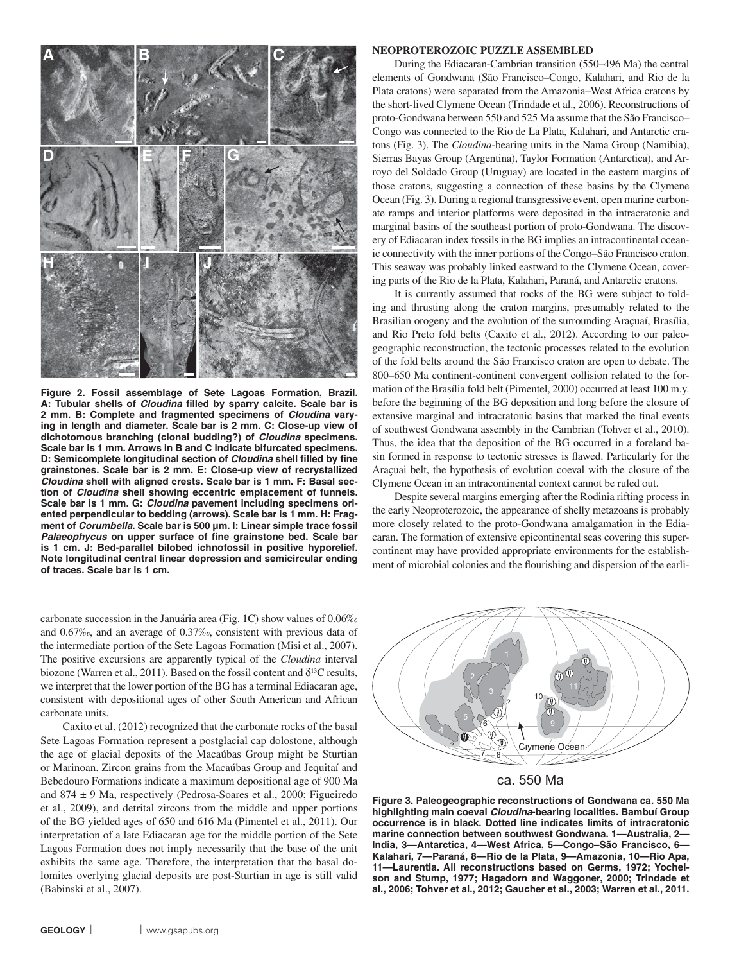

**Figure 2. Fossil assemblage of Sete Lagoas Formation, Brazil.**  A: Tubular shells of *Cloudina* filled by sparry calcite. Scale bar is **2 mm. B: Complete and fragmented specimens of** *Cloudina* **varying in length and diameter. Scale bar is 2 mm. C: Close-up view of dichotomous branching (clonal budding?) of** *Cloudina* **specimens. Scale bar is 1 mm. Arrows in B and C indicate bifurcated specimens. D: Semicomplete longitudinal section of** *Cloudina* **shell filled by fine grainstones. Scale bar is 2 mm. E: Close-up view of recrystallized**  *Cloudina* **shell with aligned crests. Scale bar is 1 mm. F: Basal section of** *Cloudina* **shell showing eccentric emplacement of funnels. Scale bar is 1 mm. G:** *Cloudina* **pavement including specimens oriented perpendicular to bedding (arrows). Scale bar is 1 mm. H: Fragment of** *Corumbella***. Scale bar is 500 µm. I: Linear simple trace fossil**  Palaeophycus on upper surface of fine grainstone bed. Scale bar **is 1 cm. J: Bed-parallel bilobed ichnofossil in positive hyporelief. Note longitudinal central linear depression and semicircular ending of traces. Scale bar is 1 cm.**

carbonate succession in the Januária area (Fig. 1C) show values of 0.06‰ and 0.67‰, and an average of 0.37‰, consistent with previous data of the intermediate portion of the Sete Lagoas Formation (Misi et al., 2007). The positive excursions are apparently typical of the *Cloudina* interval biozone (Warren et al., 2011). Based on the fossil content and  $\delta^{13}C$  results, we interpret that the lower portion of the BG has a terminal Ediacaran age, consistent with depositional ages of other South American and African carbonate units.

Caxito et al. (2012) recognized that the carbonate rocks of the basal Sete Lagoas Formation represent a postglacial cap dolostone, although the age of glacial deposits of the Macaúbas Group might be Sturtian or Marinoan. Zircon grains from the Macaúbas Group and Jequitaí and Bebedouro Formations indicate a maximum depositional age of 900 Ma and  $874 \pm 9$  Ma, respectively (Pedrosa-Soares et al., 2000; Figueiredo et al., 2009), and detrital zircons from the middle and upper portions of the BG yielded ages of 650 and 616 Ma (Pimentel et al., 2011). Our interpretation of a late Ediacaran age for the middle portion of the Sete Lagoas Formation does not imply necessarily that the base of the unit exhibits the same age. Therefore, the interpretation that the basal dolomites overlying glacial deposits are post-Sturtian in age is still valid (Babinski et al., 2007).

#### **NEOPROTEROZOIC PUZZLE ASSEMBLED**

During the Ediacaran-Cambrian transition (550–496 Ma) the central elements of Gondwana (São Francisco–Congo, Kalahari, and Rio de la Plata cratons) were separated from the Amazonia–West Africa cratons by the short-lived Clymene Ocean (Trindade et al., 2006). Reconstructions of proto-Gondwana between 550 and 525 Ma assume that the São Francisco– Congo was connected to the Rio de La Plata, Kalahari, and Antarctic cratons (Fig. 3). The *Cloudina*-bearing units in the Nama Group (Namibia), Sierras Bayas Group (Argentina), Taylor Formation (Antarctica), and Arroyo del Soldado Group (Uruguay) are located in the eastern margins of those cratons, suggesting a connection of these basins by the Clymene Ocean (Fig. 3). During a regional transgressive event, open marine carbonate ramps and interior platforms were deposited in the intracratonic and marginal basins of the southeast portion of proto-Gondwana. The discovery of Ediacaran index fossils in the BG implies an intracontinental oceanic connectivity with the inner portions of the Congo–São Francisco craton. This seaway was probably linked eastward to the Clymene Ocean, covering parts of the Rio de la Plata, Kalahari, Paraná, and Antarctic cratons.

It is currently assumed that rocks of the BG were subject to folding and thrusting along the craton margins, presumably related to the Brasilian orogeny and the evolution of the surrounding Araçuaí, Brasília, and Rio Preto fold belts (Caxito et al., 2012). According to our paleogeographic reconstruction, the tectonic processes related to the evolution of the fold belts around the São Francisco craton are open to debate. The 800–650 Ma continent-continent convergent collision related to the formation of the Brasília fold belt (Pimentel, 2000) occurred at least 100 m.y. before the beginning of the BG deposition and long before the closure of extensive marginal and intracratonic basins that marked the final events of southwest Gondwana assembly in the Cambrian (Tohver et al., 2010). Thus, the idea that the deposition of the BG occurred in a foreland basin formed in response to tectonic stresses is flawed. Particularly for the Araçuai belt, the hypothesis of evolution coeval with the closure of the Clymene Ocean in an intracontinental context cannot be ruled out.

Despite several margins emerging after the Rodinia rifting process in the early Neoproterozoic, the appearance of shelly metazoans is probably more closely related to the proto-Gondwana amalgamation in the Ediacaran. The formation of extensive epicontinental seas covering this supercontinent may have provided appropriate environments for the establishment of microbial colonies and the flourishing and dispersion of the earli-



ca. 550 Ma

**Figure 3. Paleogeographic reconstructions of Gondwana ca. 550 Ma highlighting main coeval** *Cloudina***-bearing localities. Bambuí Group occurrence is in black. Dotted line indicates limits of intracratonic marine connection between southwest Gondwana. 1—Australia, 2— India, 3—Antarctica, 4—West Africa, 5—Congo–São Francisco, 6— Kalahari, 7—Paraná, 8—Rio de la Plata, 9—Amazonia, 10—Rio Apa, 11—Laurentia. All reconstructions based on Germs, 1972; Yochelson and Stump, 1977; Hagadorn and Waggoner, 2000; Trindade et al., 2006; Tohver et al., 2012; Gaucher et al., 2003; Warren et al., 2011.**